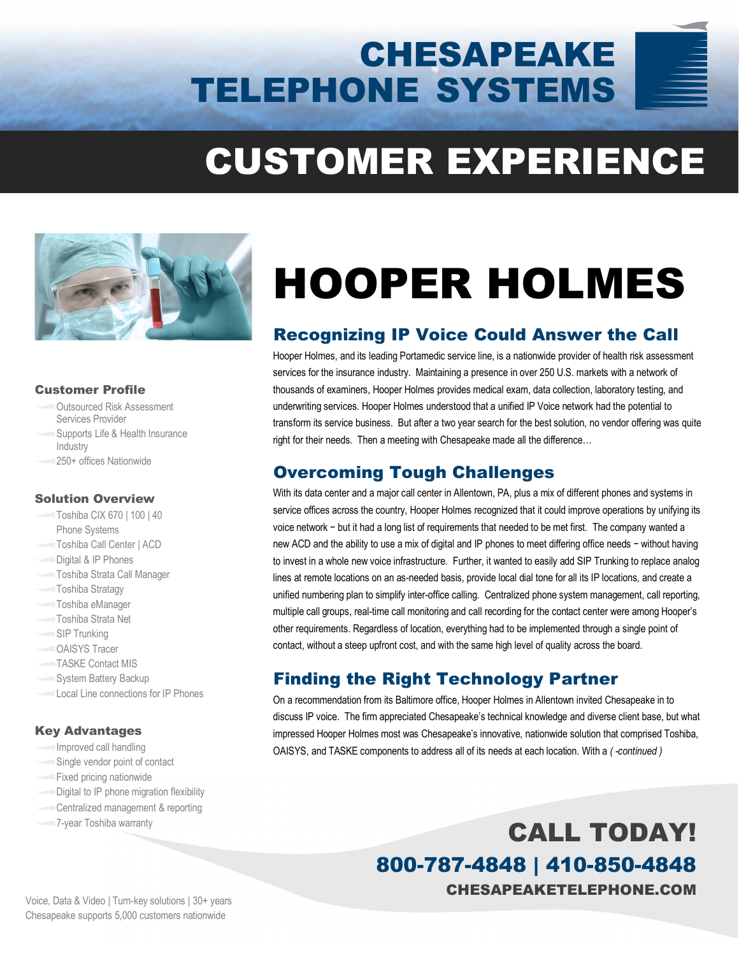# CHESAPEAKE TELEPHONE SYSTEMS

# CUSTOMER EXPERIENCE



#### Customer Profile

- Outsourced Risk Assessment Services Provider
- Supports Life & Health Insurance Industry
- 250+ offices Nationwide

#### Solution Overview

- Toshiba CIX 670 | 100 | 40 Phone Systems
- Toshiba Call Center | ACD
- Digital & IP Phones
- Toshiba Strata Call Manager
- Toshiba Stratagy
- Toshiba eManager
- Toshiba Strata Net
- SIP Trunking
- OAISYS Tracer
- TASKE Contact MIS
- System Battery Backup
- Local Line connections for IP Phones

#### Key Advantages

- Improved call handling
- Single vendor point of contact
- Fixed pricing nationwide
- Digital to IP phone migration flexibility
- Centralized management & reporting
- 

# HOOPER HOLMES

### Recognizing IP Voice Could Answer the Call

Hooper Holmes, and its leading Portamedic service line, is a nationwide provider of health risk assessment services for the insurance industry. Maintaining a presence in over 250 U.S. markets with a network of thousands of examiners, Hooper Holmes provides medical exam, data collection, laboratory testing, and underwriting services. Hooper Holmes understood that a unified IP Voice network had the potential to transform its service business. But after a two year search for the best solution, no vendor offering was quite right for their needs. Then a meeting with Chesapeake made all the difference…

#### Overcoming Tough Challenges

With its data center and a major call center in Allentown, PA, plus a mix of different phones and systems in service offices across the country, Hooper Holmes recognized that it could improve operations by unifying its voice network − but it had a long list of requirements that needed to be met first. The company wanted a new ACD and the ability to use a mix of digital and IP phones to meet differing office needs − without having to invest in a whole new voice infrastructure. Further, it wanted to easily add SIP Trunking to replace analog lines at remote locations on an as-needed basis, provide local dial tone for all its IP locations, and create a unified numbering plan to simplify inter-office calling. Centralized phone system management, call reporting, multiple call groups, real-time call monitoring and call recording for the contact center were among Hooper's other requirements. Regardless of location, everything had to be implemented through a single point of contact, without a steep upfront cost, and with the same high level of quality across the board.

#### Finding the Right Technology Partner

On a recommendation from its Baltimore office, Hooper Holmes in Allentown invited Chesapeake in to discuss IP voice. The firm appreciated Chesapeake's technical knowledge and diverse client base, but what impressed Hooper Holmes most was Chesapeake's innovative, nationwide solution that comprised Toshiba, OAISYS, and TASKE components to address all of its needs at each location. With a *( -continued )*

The Toshiba warranty **CALL TODAY!** 800-787-4848 | 410-850-4848 CHESAPEAKETELEPHONE.COM

Voice, Data & Video | Turn-key solutions | 30+ years Chesapeake supports 5,000 customers nationwide